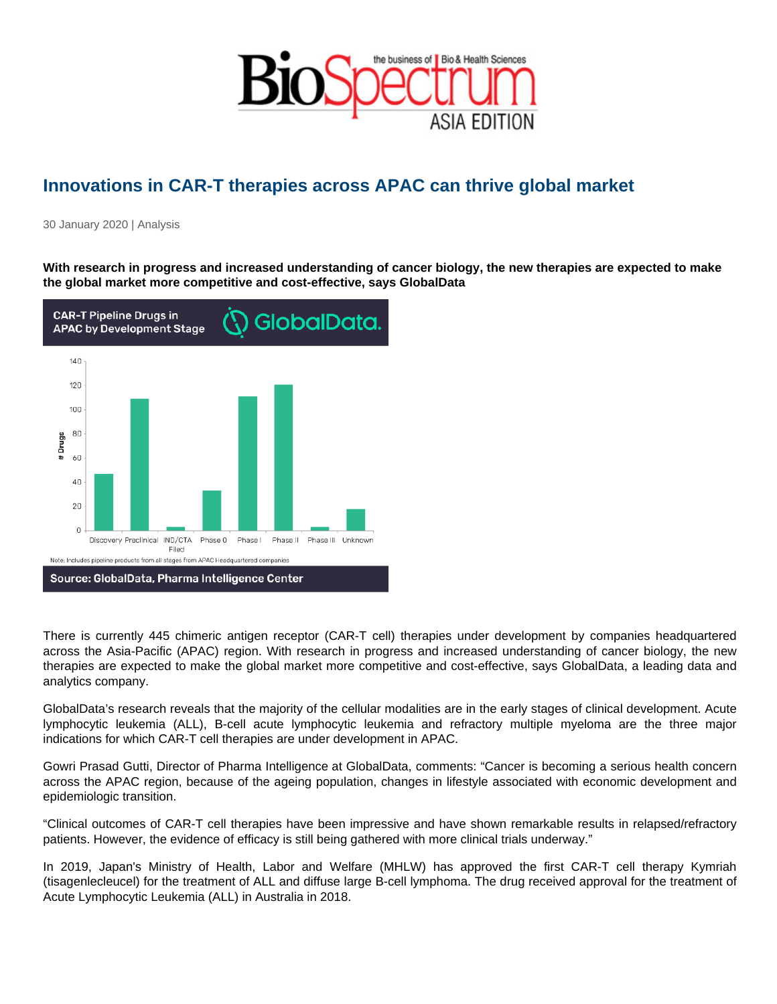## Innovations in CAR-T therapies across APAC can thrive global market

30 January 2020 | Analysis

With research in progress and increased understanding of cancer biology, the new therapies are expected to make the global market more competitive and cost-effective, says GlobalData

There is currently 445 chimeric antigen receptor (CAR-T cell) therapies under development by companies headquartered across the Asia-Pacific (APAC) region. With research in progress and increased understanding of cancer biology, the new therapies are expected to make the global market more competitive and cost-effective, says GlobalData, a leading data and analytics company.

GlobalData's research reveals that the majority of the cellular modalities are in the early stages of clinical development. Acute lymphocytic leukemia (ALL), B-cell acute lymphocytic leukemia and refractory multiple myeloma are the three major indications for which CAR-T cell therapies are under development in APAC.

Gowri Prasad Gutti, Director of Pharma Intelligence at GlobalData, comments: "Cancer is becoming a serious health concern across the APAC region, because of the ageing population, changes in lifestyle associated with economic development and epidemiologic transition.

"Clinical outcomes of CAR-T cell therapies have been impressive and have shown remarkable results in relapsed/refractory patients. However, the evidence of efficacy is still being gathered with more clinical trials underway."

In 2019, Japan's Ministry of Health, Labor and Welfare (MHLW) has approved the first CAR-T cell therapy Kymriah (tisagenlecleucel) for the treatment of ALL and diffuse large B-cell lymphoma. The drug received approval for the treatment of Acute Lymphocytic Leukemia (ALL) in Australia in 2018.